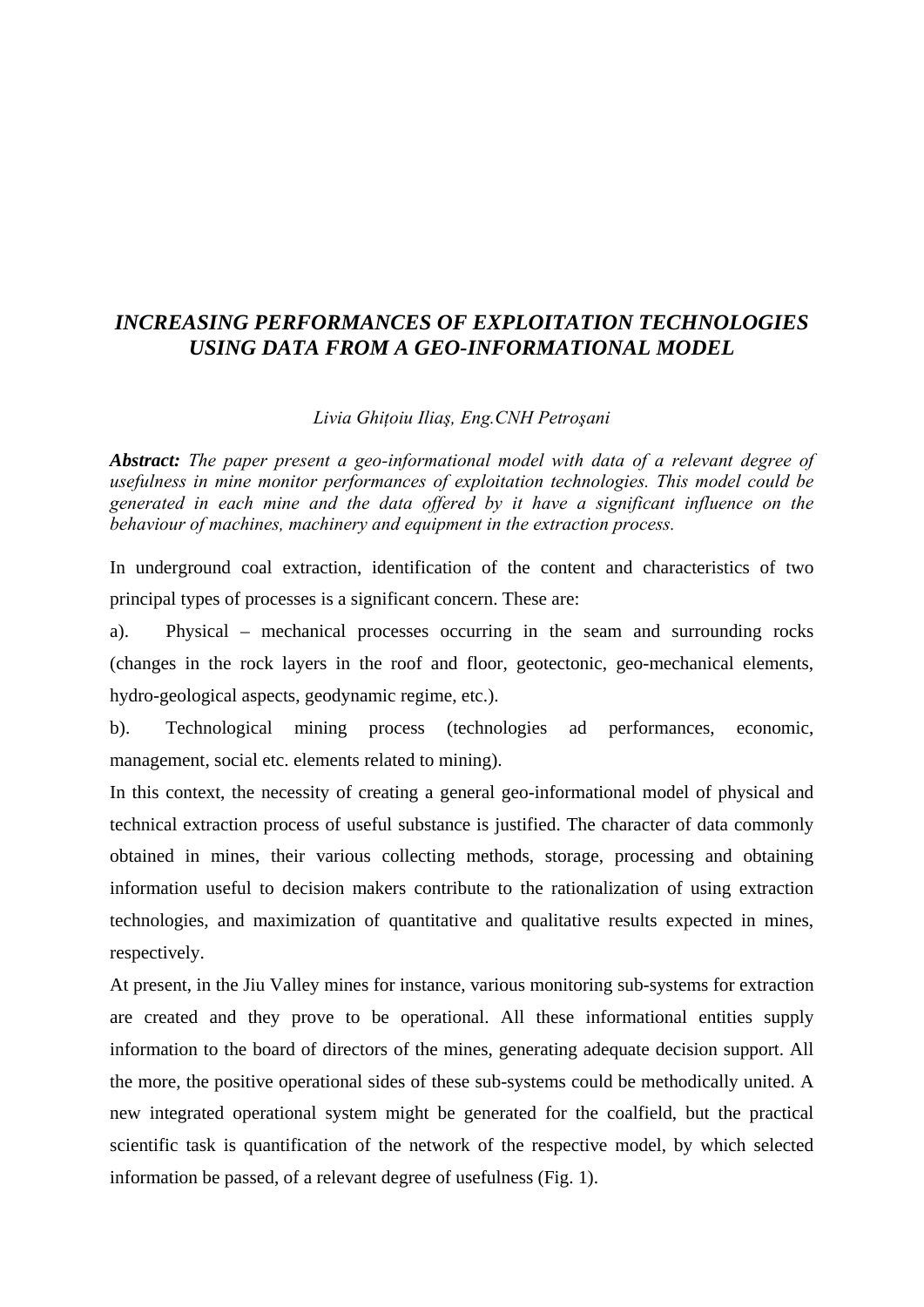## *INCREASING PERFORMANCES OF EXPLOITATION TECHNOLOGIES USING DATA FROM A GEO-INFORMATIONAL MODEL*

## *Livia Ghiţoiu Iliaş, Eng.CNH Petroşani*

*Abstract: The paper present a geo-informational model with data of a relevant degree of usefulness in mine monitor performances of exploitation technologies. This model could be generated in each mine and the data offered by it have a significant influence on the behaviour of machines, machinery and equipment in the extraction process.* 

In underground coal extraction, identification of the content and characteristics of two principal types of processes is a significant concern. These are:

a). Physical – mechanical processes occurring in the seam and surrounding rocks (changes in the rock layers in the roof and floor, geotectonic, geo-mechanical elements, hydro-geological aspects, geodynamic regime, etc.).

b). Technological mining process (technologies ad performances, economic, management, social etc. elements related to mining).

In this context, the necessity of creating a general geo-informational model of physical and technical extraction process of useful substance is justified. The character of data commonly obtained in mines, their various collecting methods, storage, processing and obtaining information useful to decision makers contribute to the rationalization of using extraction technologies, and maximization of quantitative and qualitative results expected in mines, respectively.

At present, in the Jiu Valley mines for instance, various monitoring sub-systems for extraction are created and they prove to be operational. All these informational entities supply information to the board of directors of the mines, generating adequate decision support. All the more, the positive operational sides of these sub-systems could be methodically united. A new integrated operational system might be generated for the coalfield, but the practical scientific task is quantification of the network of the respective model, by which selected information be passed, of a relevant degree of usefulness (Fig. 1).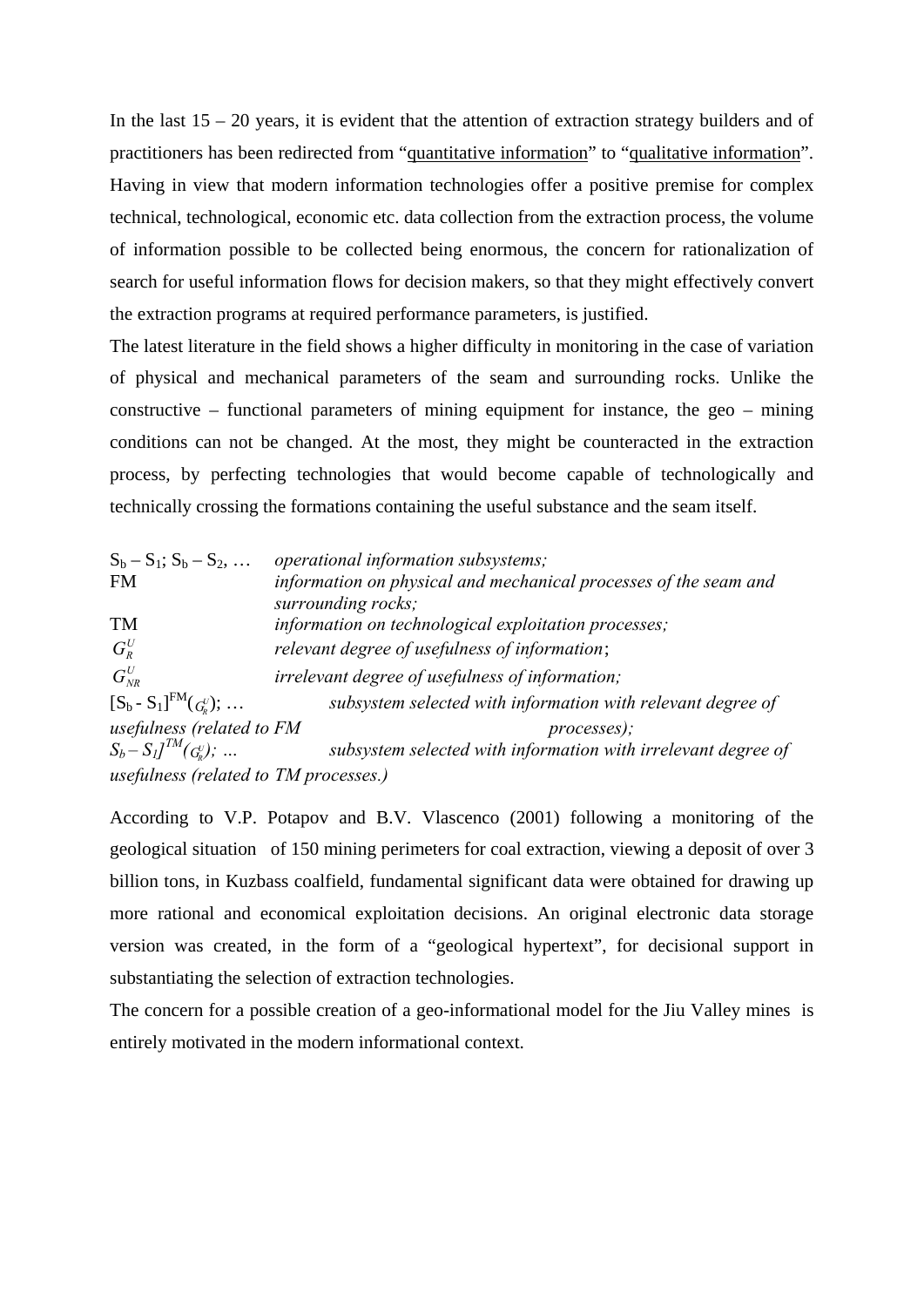In the last  $15 - 20$  years, it is evident that the attention of extraction strategy builders and of practitioners has been redirected from "quantitative information" to "qualitative information". Having in view that modern information technologies offer a positive premise for complex technical, technological, economic etc. data collection from the extraction process, the volume of information possible to be collected being enormous, the concern for rationalization of search for useful information flows for decision makers, so that they might effectively convert the extraction programs at required performance parameters, is justified.

The latest literature in the field shows a higher difficulty in monitoring in the case of variation of physical and mechanical parameters of the seam and surrounding rocks. Unlike the constructive – functional parameters of mining equipment for instance, the geo – mining conditions can not be changed. At the most, they might be counteracted in the extraction process, by perfecting technologies that would become capable of technologically and technically crossing the formations containing the useful substance and the seam itself.

| $S_b - S_1$ ; $S_b - S_2$ ,           | operational information subsystems;                                                    |  |
|---------------------------------------|----------------------------------------------------------------------------------------|--|
| <b>FM</b>                             | information on physical and mechanical processes of the seam and<br>surrounding rocks; |  |
| <b>TM</b>                             | information on technological exploitation processes;                                   |  |
| $G_R^U$                               | relevant degree of usefulness of information;                                          |  |
| $G^U_{\scriptscriptstyle NR}$         | <i>irrelevant degree of usefulness of information;</i>                                 |  |
| $[S_b - S_1]^{FM}(G_b^U); \dots$      | subsystem selected with information with relevant degree of                            |  |
| usefulness (related to FM             | processes);                                                                            |  |
| $S_b - S_l J^{TM}(G_b^U);$            | subsystem selected with information with irrelevant degree of                          |  |
| usefulness (related to TM processes.) |                                                                                        |  |

According to V.P. Potapov and B.V. Vlascenco (2001) following a monitoring of the geological situation of 150 mining perimeters for coal extraction, viewing a deposit of over 3 billion tons, in Kuzbass coalfield, fundamental significant data were obtained for drawing up more rational and economical exploitation decisions. An original electronic data storage version was created, in the form of a "geological hypertext", for decisional support in substantiating the selection of extraction technologies.

The concern for a possible creation of a geo-informational model for the Jiu Valley mines is entirely motivated in the modern informational context.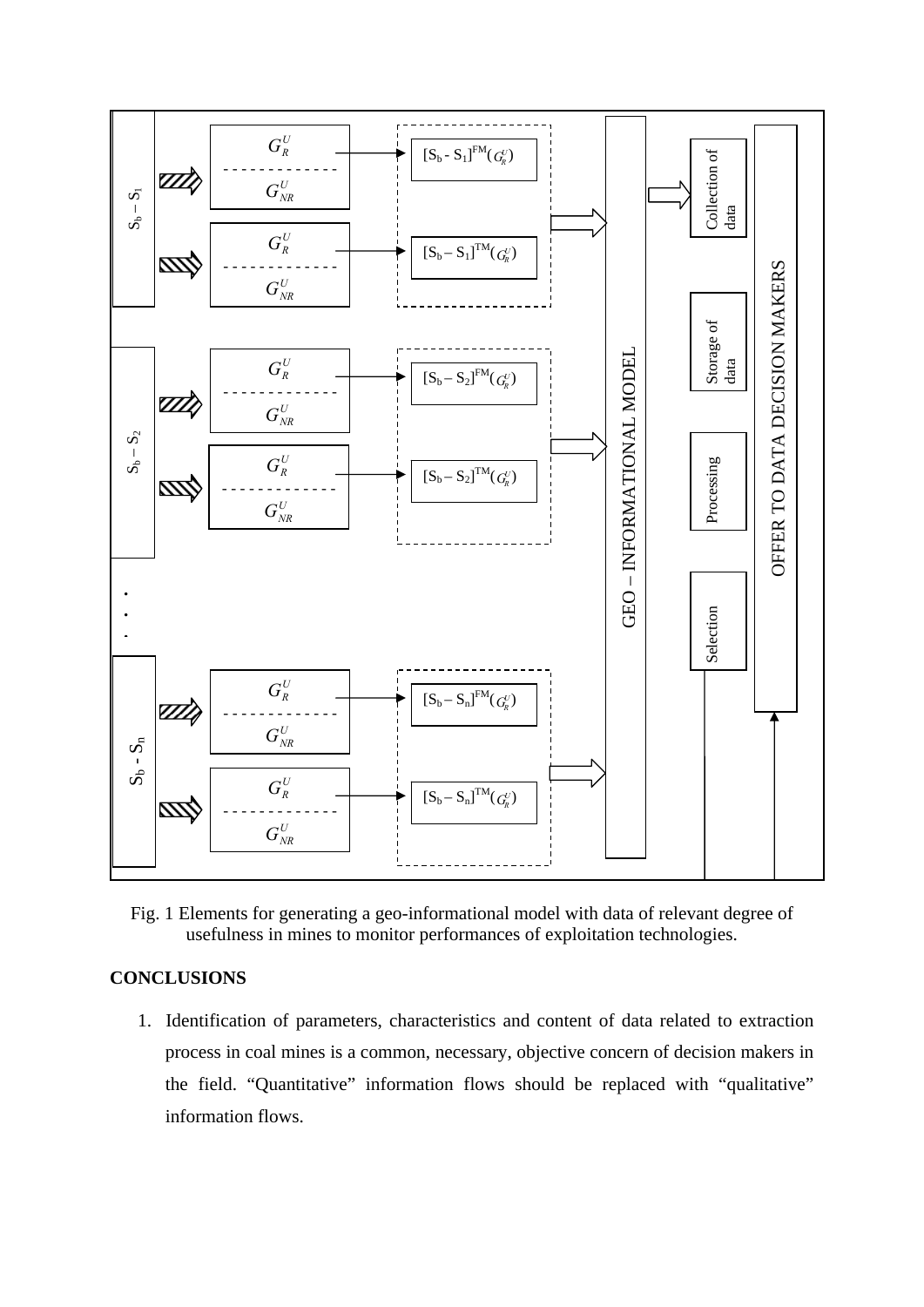

Fig. 1 Elements for generating a geo-informational model with data of relevant degree of usefulness in mines to monitor performances of exploitation technologies.

## **CONCLUSIONS**

1. Identification of parameters, characteristics and content of data related to extraction process in coal mines is a common, necessary, objective concern of decision makers in the field. "Quantitative" information flows should be replaced with "qualitative" information flows.